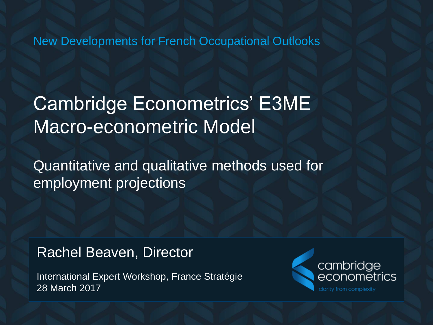New Developments for French Occupational Outlooks

### Cambridge Econometrics' E3ME Macro-econometric Model

Quantitative and qualitative methods used for employment projections

### Rachel Beaven, Director

International Expert Workshop, France Stratégie 28 March 2017

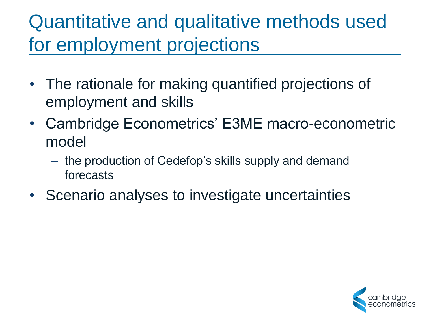### Quantitative and qualitative methods used for employment projections

- The rationale for making quantified projections of employment and skills
- Cambridge Econometrics' E3ME macro-econometric model
	- the production of Cedefop's skills supply and demand forecasts
- Scenario analyses to investigate uncertainties

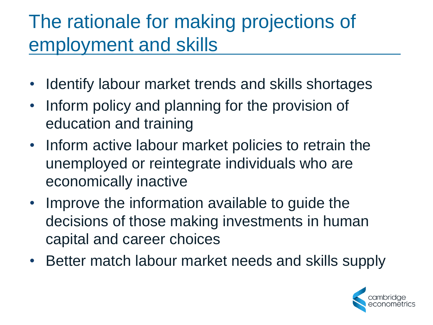## The rationale for making projections of employment and skills

- Identify labour market trends and skills shortages
- Inform policy and planning for the provision of education and training
- Inform active labour market policies to retrain the unemployed or reintegrate individuals who are economically inactive
- Improve the information available to guide the decisions of those making investments in human capital and career choices
- Better match labour market needs and skills supply

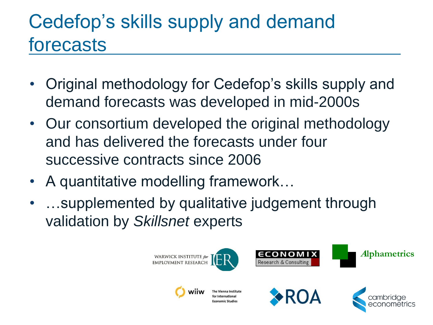### Cedefop's skills supply and demand forecasts

- Original methodology for Cedefop's skills supply and demand forecasts was developed in mid-2000s
- Our consortium developed the original methodology and has delivered the forecasts under four successive contracts since 2006
- A quantitative modelling framework...
- …supplemented by qualitative judgement through validation by *Skillsnet* experts

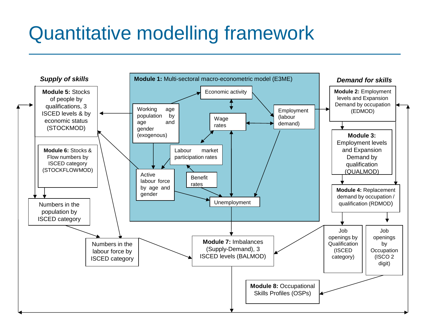### Quantitative modelling framework

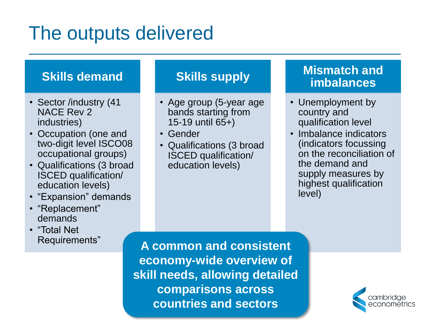### The outputs delivered

#### **Skills demand**

- Sector /industry (41) NACE Rev 2 industries)
- Occupation (one and two-digit level ISCO08 occupational groups)
- Qualifications (3 broad ISCED qualification/ education levels)
- "Expansion" demands
- "Replacement" demands
- "Total Net Requirements"

#### **Skills supply**

- Age group (5-year age bands starting from 15-19 until 65+)
- Gender
- Qualifications (3 broad ISCED qualification/ education levels)

#### **Mismatch and imbalances**

- Unemployment by country and qualification level
- Imbalance indicators (indicators focussing on the reconciliation of the demand and supply measures by highest qualification level)

**A common and consistent economy-wide overview of skill needs, allowing detailed comparisons across countries and sectors**

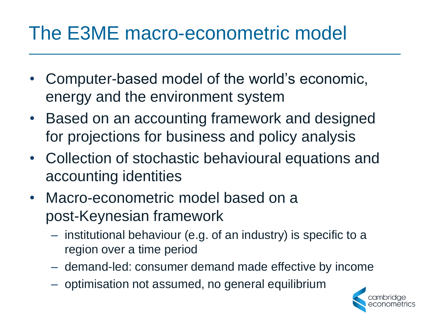### The E3ME macro-econometric model

- Computer-based model of the world's economic, energy and the environment system
- Based on an accounting framework and designed for projections for business and policy analysis
- Collection of stochastic behavioural equations and accounting identities
- Macro-econometric model based on a post-Keynesian framework
	- institutional behaviour (e.g. of an industry) is specific to a region over a time period
	- demand-led: consumer demand made effective by income
	- optimisation not assumed, no general equilibrium

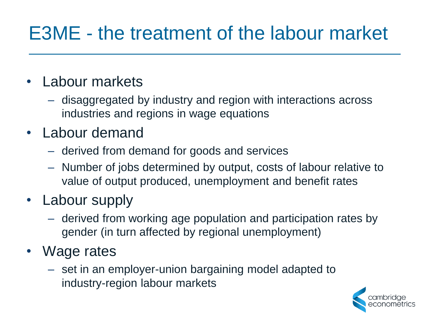### E3ME - the treatment of the labour market

### • Labour markets

- disaggregated by industry and region with interactions across industries and regions in wage equations
- Labour demand
	- derived from demand for goods and services
	- Number of jobs determined by output, costs of labour relative to value of output produced, unemployment and benefit rates
- Labour supply
	- derived from working age population and participation rates by gender (in turn affected by regional unemployment)
- Wage rates
	- set in an employer-union bargaining model adapted to industry-region labour markets

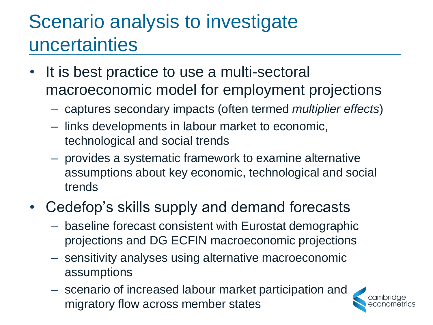# Scenario analysis to investigate uncertainties

- It is best practice to use a multi-sectoral macroeconomic model for employment projections
	- captures secondary impacts (often termed *multiplier effects*)
	- links developments in labour market to economic, technological and social trends
	- provides a systematic framework to examine alternative assumptions about key economic, technological and social trends
- Cedefop's skills supply and demand forecasts
	- baseline forecast consistent with Eurostat demographic projections and DG ECFIN macroeconomic projections
	- sensitivity analyses using alternative macroeconomic assumptions
	- scenario of increased labour market participation and migratory flow across member states

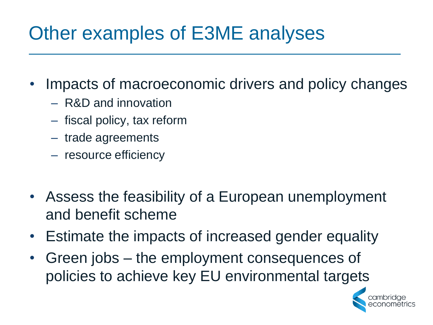## Other examples of E3ME analyses

- Impacts of macroeconomic drivers and policy changes
	- R&D and innovation
	- fiscal policy, tax reform
	- trade agreements
	- resource efficiency
- Assess the feasibility of a European unemployment and benefit scheme
- Estimate the impacts of increased gender equality
- Green jobs the employment consequences of policies to achieve key EU environmental targets

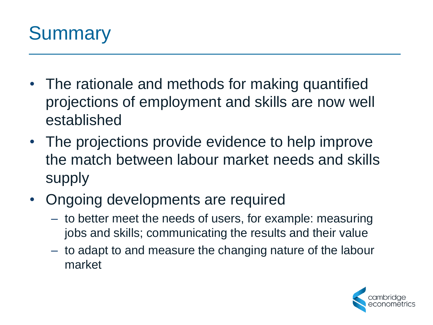

- The rationale and methods for making quantified projections of employment and skills are now well established
- The projections provide evidence to help improve the match between labour market needs and skills supply
- Ongoing developments are required
	- to better meet the needs of users, for example: measuring jobs and skills; communicating the results and their value
	- to adapt to and measure the changing nature of the labour market